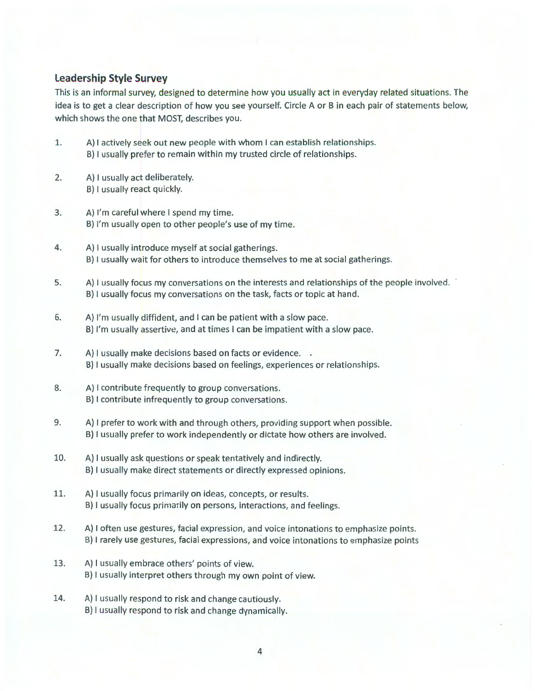## **Leadership Style Survey**

This is an informal survey, designed to determine how you usually act in everyday related situations. The idea is to get a clear description of how you see yourself. Circle A or B in each pair of statements below, which shows the one that MOST, describes you.

- 1. A} I actively seek out new people with whom I can establish relationships. B) I usually prefer to remain within my trusted circle of relationships.
- 2. A) I usually act deliberately. B) I usually react quickly.
- 3. A) I'm careful where I spend my time. B) I'm usually open to other people's use of my time.
- 4. A) I usually introduce myself at social gatherings. B) I usually wait for others to introduce themselves to me at social gatherings.
- 5. A} I usually focus my conversations on the interests and relationships of the people involved. B) I usually focus my conversations on the task, facts or topic at hand.
- 6. A) I'm usually diffident, and I can be patient with a slow pace. B) I'm usually assertive, and at times I can be impatient with a slow pace.
- 7. A) I usually make decisions based on facts or evidence. . B) I usually make decisions based on feelings, experiences or relationships.
- 8. A) I contribute frequently to group conversations. B} I contribute infrequently to group conversations.
- 9. A) I prefer to work with and through others, providing support when possible. B) I usually prefer to work independently or dictate how others are involved.
- 10. A) I usually ask questions or speak tentatively and indirectly. B) I usually make direct statements or directly expressed opinions.
- 11. A) I usually focus primarily on ideas, concepts, or results. B) I usually focus primarily on persons, interactions, and feelings.
- 12. A} I often use gestures, facial expression, and voice intonations to emphasize points. B) I rarely use gestures, facial expressions, and voice intonations to emphasize points
- 13. A) I usually embrace others' points of view. B) I usually interpret others through my own point of view.
- 14. A) I usually respond to risk and change cautiously. B) I usually respond to risk and change dynamically.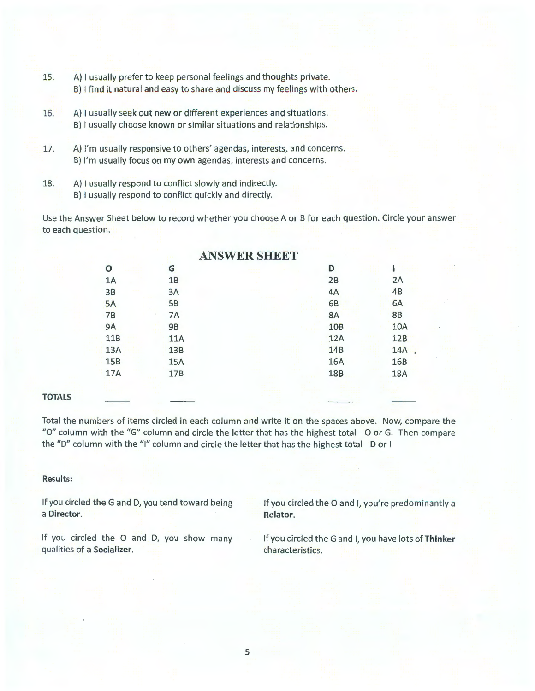- lS. A) I usually prefer to keep personal feelings and thoughts private. B) I find it natural and easy to share and discuss my feelings with others.
- 16. A) I usually seek out new or different experiences and situations. B) I usually choose known or similar situations and relationships.
- 17. A) I'm usually responsive to others' agendas, interests, and concerns. B) I'm usually focus on my own agendas, interests and concerns.
- 18. A) I usually respond to conflict slowly and indirectly. B) I usually respond to conflict quickly and directly.

Use the Answer Sheet below to record whether you choose A or B for each question. Circle your answer to each question.

|            |            | <b>ANSWER SHEET</b> |            |            |  |
|------------|------------|---------------------|------------|------------|--|
| Ο          | G          |                     | D          |            |  |
| 1Α         | 1B         |                     | 2B         | 2A         |  |
| 3B         | 3A         |                     | 4A         | 4B         |  |
| 5A         | <b>5B</b>  |                     | 6B         | 6A         |  |
| 7B         | 7A         |                     | 8A         | <b>8B</b>  |  |
| <b>9A</b>  | 9B         |                     | 10B        | <b>10A</b> |  |
| 11B        | <b>11A</b> |                     | 12A        | 12B        |  |
| 13A        | 13B        |                     | 14B        | 14A        |  |
| <b>15B</b> | <b>15A</b> |                     | 16A        | 16B        |  |
| 17A        | 17B        | .                   | <b>18B</b> | <b>18A</b> |  |
|            |            |                     |            |            |  |
|            |            |                     |            |            |  |

#### **TOTALS**

Total the numbers of items circled in each column and write it on the spaces above. Now, compare the "O" column with the "G" column and circle the letter that has the highest total - O or G. Then compare the "D" column with the "I" column and circle the letter that has the highest total - Dor I

#### **Results:**

If you circled the G and D, you tend toward being a **Director.** 

If you circled the 0 and I, you're predominantly a **Relator.** 

If you circled the 0 and D, you show many qualities of a **Socializer.** 

If you circled the G and I, you have lots **ofThinker**  characteristics.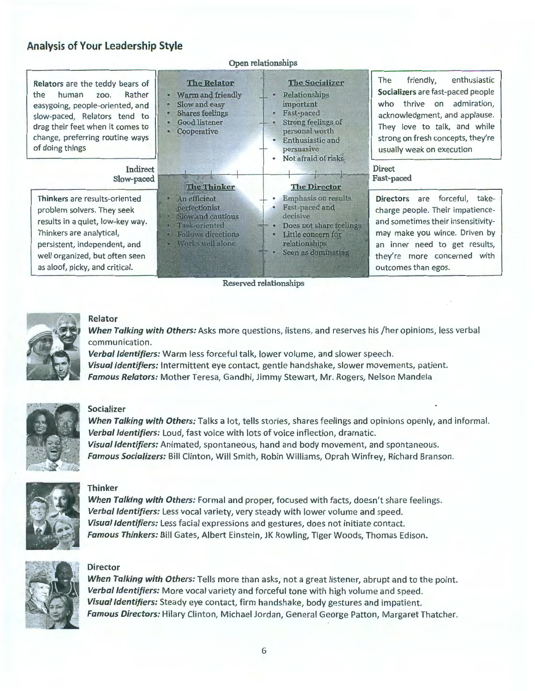# Analysis of Your Leadership Style

| Open relationships                                                                                                                                                                                                                    |                                                                                                                                                                     |                                                                                                                                                                                |                                                                                                                                                                                                                                                |  |  |  |
|---------------------------------------------------------------------------------------------------------------------------------------------------------------------------------------------------------------------------------------|---------------------------------------------------------------------------------------------------------------------------------------------------------------------|--------------------------------------------------------------------------------------------------------------------------------------------------------------------------------|------------------------------------------------------------------------------------------------------------------------------------------------------------------------------------------------------------------------------------------------|--|--|--|
| Relators are the teddy bears of<br>Rather<br>the<br>human<br><b>ZOO.</b><br>easygoing, people-oriented, and<br>slow-paced, Relators tend to<br>drag their feet when it comes to<br>change, preferring routine ways<br>of doing things | <b>The Relator</b><br>Warm and friendly<br>٠<br>Slow and easy<br>$\bullet$<br><b>Shares feelings</b><br>۰<br>Good listener<br>$\bullet$<br>Cooperative<br>$\bullet$ | <b>The Socializer</b><br>Relationships<br>٠<br>important<br><b>Fast-paced</b><br>Strong feelings of<br>personal worth<br>Enthusiastic and<br>persuasive<br>Not afraid of risks | enthusiastic<br>friendly,<br>The<br>Socializers are fast-paced people<br>admiration,<br>thrive<br>who<br>on<br>acknowledgment, and applause.<br>They love to talk, and while<br>strong on fresh concepts, they're<br>usually weak on execution |  |  |  |
| Indirect<br>Slow-paced                                                                                                                                                                                                                | <b>ASSESSED</b><br><b>The Thinker</b>                                                                                                                               | <b>The Director</b>                                                                                                                                                            | <b>Direct</b><br>Fast-paced                                                                                                                                                                                                                    |  |  |  |
| Thinkers are results-oriented<br>problem solvers. They seek<br>results in a quiet, low-key way.<br>Thinkers are analytical,<br>persistent, independent, and<br>well organized, but often seen<br>as aloof, picky, and critical.       | An efficient<br>perfectionist<br>Slow and cautious<br>Task-oriented<br><b>Follows directions</b><br>Works well alone                                                | Emphasis on results<br>Fast-paced and<br>decisive.<br>Does not share feelings.<br>Little concern for<br>relationships<br>Seen as dominating                                    | are forceful, take-<br><b>Directors</b><br>charge people. Their impatience-<br>and sometimes their insensitivity-<br>may make you wince. Driven by<br>an inner need to get results,<br>they're more concerned with<br>outcomes than egos.      |  |  |  |
| Reserved relationships                                                                                                                                                                                                                |                                                                                                                                                                     |                                                                                                                                                                                |                                                                                                                                                                                                                                                |  |  |  |

Open relationships



### Relator

*When Talking with Others:* Asks more questions, listens, and reserves his /her opinions, less verbal communication.

*Verbal Identifiers:* Warm less forceful talk, lower volume, and slower speech . *Visual Identifiers:* Intermittent eye contact, gentle handshake, slower movements, patient. *Famous Relators:* Mother Teresa, Gandhi, Jimmy Stewart, Mr. Rogers, Nelson Mandela



#### Socializer

*When Talking with Others:* Talks a lot, tells stories, shares feelings and opinions openly, and informal. *Verbal Identifiers:* Loud, fast voice with lots of voice inflection, dramatic. *Visual Identifiers:* Animated, spontaneous, hand and body movement, and spontaneous. *Famous Socializers:* Bill Clinton, Will Smith, Robin Williams, Oprah Winfrey, Richard Branson.



#### Thinker

*When Talking with Others:* Formal and proper, focused with facts, doesn't share feelings. *Verbal Identifiers:* Less vocal variety, very steady with lower volume and speed. *Visual Identifiers:* Less facial expressions and gestures, does not initiate contact. *Famous Thinkers:* Bill Gates, Albert Einstein, JK Rowling, Tiger Woods, Thomas Edison.



#### **Director**

*When Talking with Others:* Tells more than asks, not a great listener, abrupt and to the point. *Verbal Identifiers:* More vocal variety and forceful tone with high volume and speed. *Visual Identifiers:* Steady eye contact, firm handshake, body gestures and impatient. *Famous Directors:* Hilary Clinton, Michael Jordan, General George Patton, Margaret Thatcher.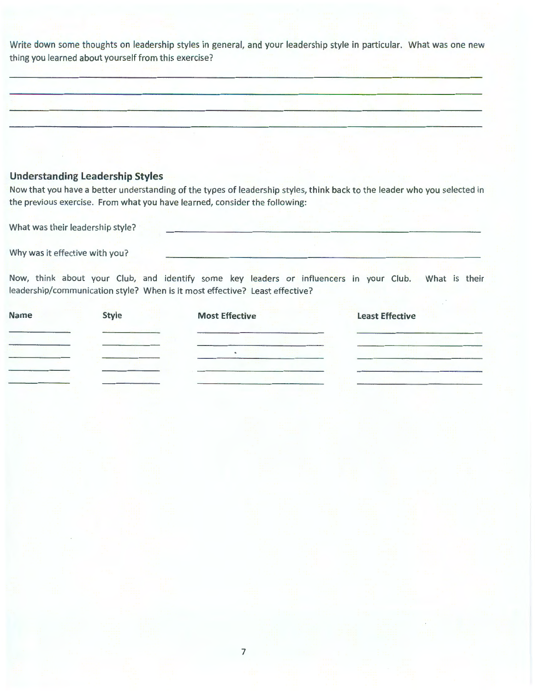Write down some thoughts on leadership styles in general, and your leadership style in particular. What was one new thing you learned about yourself from this exercise?

### **Understanding Leadership Styles**

Now that you have a better understanding of the types of leadership styles, think back to the leader who you selected in the previous exercise. From what you have learned, consider the following:

What was their leadership style?

Why was it effective with you?

Now, think about your Club, and identify some key leaders or influencers in your Club. What is their leadership/communication style? When is it most effective? Least effective?

| <b>Style</b><br>Name | <b>Most Effective</b> | <b>Least Effective</b> |
|----------------------|-----------------------|------------------------|
|                      |                       |                        |
|                      | $\bullet$             |                        |
|                      |                       |                        |
|                      |                       |                        |
|                      |                       |                        |
|                      |                       |                        |
|                      |                       |                        |
|                      |                       |                        |
|                      |                       |                        |
|                      |                       |                        |
|                      | $\overline{7}$        |                        |